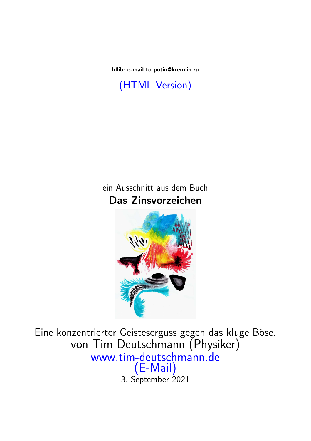Idlib: e-mail to putin@kremlin.ru

[\(HTML Version\)](http://www.tim-deutschmann.de/Aktuelles/20180906.html)

ein Ausschnitt aus dem Buch Das Zinsvorzeichen



Eine konzentrierter Geisteserguss gegen das kluge Böse. von Tim Deutschmann (Physiker) [www.tim-deutschmann.de](http://www.tim-deutschmann.de) [\(E-Mail\)](mailto:autor@tim-deutschmann.de) 3. September 2021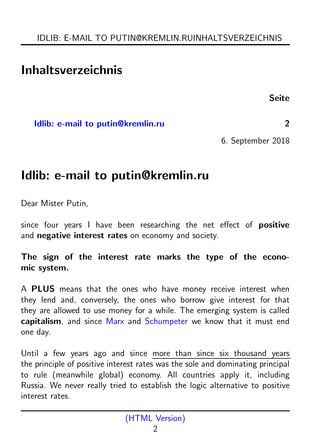## <span id="page-1-1"></span>Inhaltsverzeichnis

Seite

<span id="page-1-0"></span>[Idlib: e-mail to putin@kremlin.ru](#page-1-0) 2

6. September 2018

## Idlib: e-mail to putin@kremlin.ru

Dear Mister Putin,

since four years I have been researching the net effect of **positive** and **negative interest rates** on economy and society.

The sign of the interest rate marks the type of the economic system.

A **PLUS** means that the ones who have money receive interest when they lend and, conversely, the ones who borrow give interest for that they are allowed to use money for a while. The emerging system is called capitalism, and since [Marx](https://en.wikipedia.org/wiki/Karl_Marx) and [Schumpeter](https://en.wikipedia.org/wiki/Joseph_Schumpeter) we know that it must end one day.

Until a few years ago and since more than since six thousand years the principle of positive interest rates was the sole and dominating principal to rule (meanwhile global) economy. All countries apply it, including Russia. We never really tried to establish the logic alternative to positive interest rates.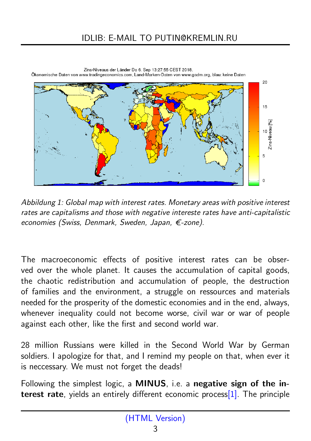

Zins-Niveaus der Länder Do 6. Sep 13:27:55 CEST 2018. Ökonomische Daten von www.tradingeconomics.com, Land-Marken-Daten von www.gadm.org, blau: keine Daten

*Abbildung 1: Global map with interest rates. Monetary areas with positive interest rates are capitalisms and those with negative intereste rates have anti-capitalistic economies (Swiss, Denmark, Sweden, Japan, €-zone).* 

The macroeconomic effects of positive interest rates can be observed over the whole planet. It causes the accumulation of capital goods, the chaotic redistribution and accumulation of people, the destruction of families and the environment, a struggle on ressources and materials needed for the prosperity of the domestic economies and in the end, always, whenever inequality could not become worse, civil war or war of people against each other, like the first and second world war.

28 million Russians were killed in the Second World War by German soldiers. I apologize for that, and I remind my people on that, when ever it is neccessary. We must not forget the deads!

Following the simplest logic, a MINUS, i.e. a negative sign of the interest rate, yields an entirely different economic proces[s\[1\].](https://www.ecb.europa.eu/press/key/date/2016/html/sp160728.en.html) The principle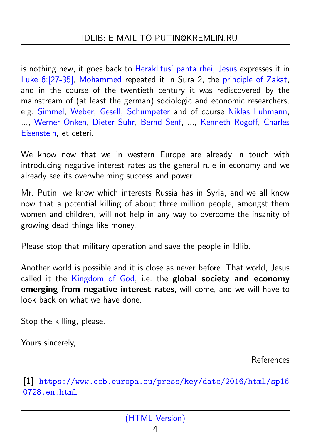<span id="page-3-0"></span>is nothing new, it goes back to [Heraklitus'](https://en.wikipedia.org/wiki/Heraclitus) [panta rhei,](https://en.wikipedia.org/wiki/Heraclitus::Panta_rhei,_\%22everything_flows\%22) [Jesus](https://en.wikipedia.org/wiki/Jesus) expresses it in [Luke 6:\[27-35\],](https://www.bible.com/bible/111/LUK.6.niv) [Mohammed](https://en.wikipedia.org/wiki/Muhammad) repeated it in Sura 2, the [principle of Zakat,](https://en.wikipedia.org/wiki/Zakat) and in the course of the twentieth century it was rediscovered by the mainstream of (at least the german) sociologic and economic researchers, e.g. [Simmel,](https://en.wikipedia.org/wiki/Georg_Simmel) [Weber,](https://en.wikipedia.org/wiki/Max_Weber) [Gesell,](https://en.wikipedia.org/wiki/Silvio_Gesell) [Schumpeter](https://en.wikipedia.org/wiki/Joseph_Schumpeter) and of course [Niklas Luhmann,](https://en.wikipedia.org/wiki/Niklas_Luhmann) ..., [Werner Onken,](https://de.wikipedia.org/wiki/Werner_Onken) [Dieter Suhr,](https://de.wikipedia.org/wiki/Dieter_Suhr) [Bernd Senf,](https://de.wikipedia.org/wiki/Bernd_Senf) ..., [Kenneth Rogoff,](https://en.wikipedia.org/wiki/Kenneth_Rogoff) Charles Eisenstein, et ceteri.

We know now that we in western Europe are already in touch with introducing negative interest rates as the general rule in economy and we already see its overwhelming success and power.

Mr. Putin, we know which interests Russia has in Syria, and we all know now that a potential killing of about three million people, amongst them women and children, will not help in any way to overcome the insanity of growing dead things like money.

Please stop that military operation and save the people in Idlib.

Another world is possible and it is close as never before. That world, Jesus called it the [Kingdom of God,](https://en.wikipedia.org/wiki/Kingdom_of_God_(Christianity)) i.e. the global society and economy emerging from negative interest rates, will come, and we will have to look back on what we have done.

Stop the killing, please.

Yours sincerely,

References

[1] [https://www.ecb.europa.eu/press/key/date/2016/html/sp16](https://www.ecb.europa.eu/press/key/date/2016/html/sp160728.en.html) [0728.en.html](https://www.ecb.europa.eu/press/key/date/2016/html/sp160728.en.html)